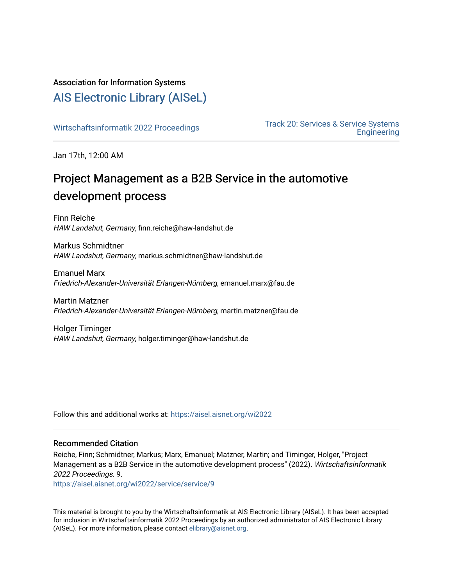#### Association for Information Systems

## [AIS Electronic Library \(AISeL\)](https://aisel.aisnet.org/)

Wirtschaftsinformatik 2022 Proceedings<br>
Fack 20: Services & Service Systems [Engineering](https://aisel.aisnet.org/wi2022/service) 

Jan 17th, 12:00 AM

# Project Management as a B2B Service in the automotive development process

Finn Reiche HAW Landshut, Germany, finn.reiche@haw-landshut.de

Markus Schmidtner HAW Landshut, Germany, markus.schmidtner@haw-landshut.de

Emanuel Marx Friedrich-Alexander-Universität Erlangen-Nürnberg, emanuel.marx@fau.de

Martin Matzner Friedrich-Alexander-Universität Erlangen-Nürnberg, martin.matzner@fau.de

Holger Timinger HAW Landshut, Germany, holger.timinger@haw-landshut.de

Follow this and additional works at: [https://aisel.aisnet.org/wi2022](https://aisel.aisnet.org/wi2022?utm_source=aisel.aisnet.org%2Fwi2022%2Fservice%2Fservice%2F9&utm_medium=PDF&utm_campaign=PDFCoverPages) 

#### Recommended Citation

Reiche, Finn; Schmidtner, Markus; Marx, Emanuel; Matzner, Martin; and Timinger, Holger, "Project Management as a B2B Service in the automotive development process" (2022). Wirtschaftsinformatik 2022 Proceedings. 9.

[https://aisel.aisnet.org/wi2022/service/service/9](https://aisel.aisnet.org/wi2022/service/service/9?utm_source=aisel.aisnet.org%2Fwi2022%2Fservice%2Fservice%2F9&utm_medium=PDF&utm_campaign=PDFCoverPages)

This material is brought to you by the Wirtschaftsinformatik at AIS Electronic Library (AISeL). It has been accepted for inclusion in Wirtschaftsinformatik 2022 Proceedings by an authorized administrator of AIS Electronic Library (AISeL). For more information, please contact [elibrary@aisnet.org](mailto:elibrary@aisnet.org%3E).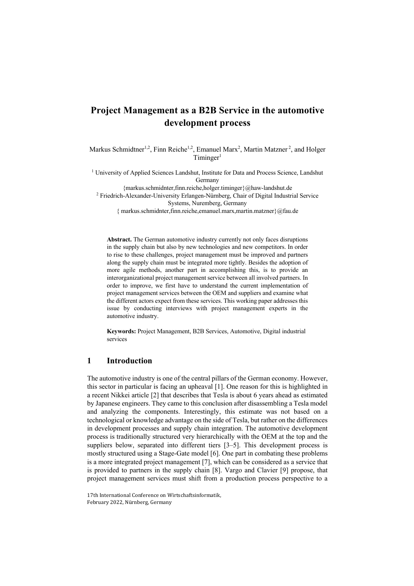### **Project Management as a B2B Service in the automotive development process**

Markus Schmidtner<sup>1,2</sup>, Finn Reiche<sup>1,2</sup>, Emanuel Marx<sup>2</sup>, Martin Matzner<sup>2</sup>, and Holger Timinger<sup>1</sup>

<sup>1</sup> University of Applied Sciences Landshut, Institute for Data and Process Science, Landshut Germany

{markus.schmidnter,finn.reiche,holger.timinger}@haw-landshut.de

<sup>2</sup> Friedrich-Alexander-University Erlangen-Nürnberg, Chair of Digital Industrial Service Systems, Nuremberg, Germany

{ markus.schmidnter,finn.reiche,emanuel.marx,martin.matzner}@fau.de

**Abstract.** The German automotive industry currently not only faces disruptions in the supply chain but also by new technologies and new competitors. In order to rise to these challenges, project management must be improved and partners along the supply chain must be integrated more tightly. Besides the adoption of more agile methods, another part in accomplishing this, is to provide an interorganizational project management service between all involved partners. In order to improve, we first have to understand the current implementation of project management services between the OEM and suppliers and examine what the different actors expect from these services. This working paper addresses this issue by conducting interviews with project management experts in the automotive industry.

**Keywords:** Project Management, B2B Services, Automotive, Digital industrial services

#### **1 Introduction**

The automotive industry is one of the central pillars of the German economy. However, this sector in particular is facing an upheaval [1]. One reason for this is highlighted in a recent Nikkei article [2] that describes that Tesla is about 6 years ahead as estimated by Japanese engineers. They came to this conclusion after disassembling a Tesla model and analyzing the components. Interestingly, this estimate was not based on a technological or knowledge advantage on the side of Tesla, but rather on the differences in development processes and supply chain integration. The automotive development process is traditionally structured very hierarchically with the OEM at the top and the suppliers below, separated into different tiers [3–5]. This development process is mostly structured using a Stage-Gate model [6]. One part in combating these problems is a more integrated project management [7], which can be considered as a service that is provided to partners in the supply chain [8]. Vargo and Clavier [9] propose, that project management services must shift from a production process perspective to a

<sup>17</sup>th International Conference on Wirtschaftsinformatik, February 2022, Nürnberg, Germany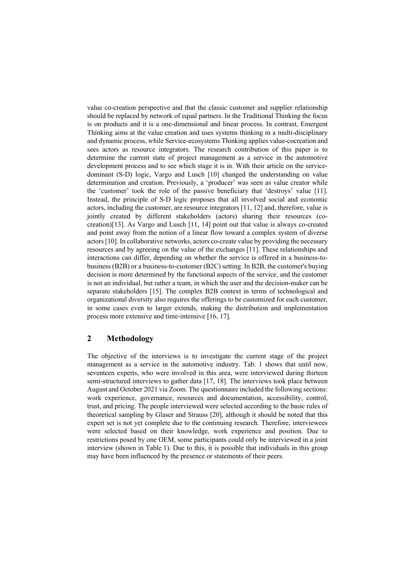value co-creation perspective and that the classic customer and supplier relationship should be replaced by network of equal partners. In the Traditional Thinking the focus is on products and it is a one-dimensional and linear process. In contrast, Emergent Thinking aims at the value creation and uses systems thinking in a multi-disciplinary and dynamic process, while Service-ecosystems Thinking applies value-cocreation and sees actors as resource integrators. The research contribution of this paper is to determine the current state of project management as a service in the automotive development process and to see which stage it is in. With their article on the servicedominant (S-D) logic, Vargo and Lusch [10] changed the understanding on value determination and creation. Previously, a 'producer' was seen as value creator while the 'customer' took the role of the passive beneficiary that 'destroys' value [11]. Instead, the principle of S-D logic proposes that all involved social and economic actors, including the customer, are resource integrators [11, 12] and, therefore, value is jointly created by different stakeholders (actors) sharing their resources (cocreation)[13]. As Vargo and Lusch [11, 14] point out that value is always co-created and point away from the notion of a linear flow toward a complex system of diverse actors [10]. In collaborative networks, actors co-create value by providing the necessary resources and by agreeing on the value of the exchanges [11]. These relationships and interactions can differ, depending on whether the service is offered in a business-tobusiness (B2B) or a business-to-customer (B2C) setting. In B2B, the customer's buying decision is more determined by the functional aspects of the service, and the customer is not an individual, but rather a team, in which the user and the decision-maker can be separate stakeholders [15]. The complex B2B context in terms of technological and organizational diversity also requires the offerings to be customized for each customer, in some cases even to larger extends, making the distribution and implementation process more extensive and time-intensive [16, 17].

#### **2 Methodology**

The objective of the interviews is to investigate the current stage of the project management as a service in the automotive industry. Tab. 1 shows that until now, seventeen experts, who were involved in this area, were interviewed during thirteen semi-structured interviews to gather data [17, 18]. The interviews took place between August and October 2021 via Zoom. The questionnaire included the following sections: work experience, governance, resources and documentation, accessibility, control, trust, and pricing. The people interviewed were selected according to the basic rules of theoretical sampling by Glaser and Strauss [20], although it should be noted that this expert set is not yet complete due to the continuing research. Therefore, interviewees were selected based on their knowledge, work experience and position. Due to restrictions posed by one OEM, some participants could only be interviewed in a joint interview (shown in Table 1). Due to this, it is possible that individuals in this group may have been influenced by the presence or statements of their peers.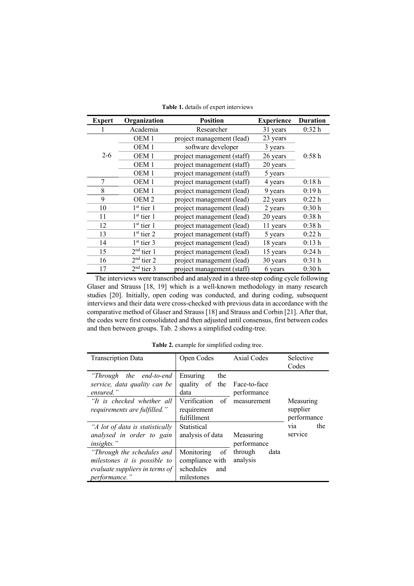| <b>Expert</b> | Organization     | <b>Position</b><br><b>Experience</b> |          | <b>Duration</b>   |  |
|---------------|------------------|--------------------------------------|----------|-------------------|--|
|               | Academia         | Researcher                           | 31 years | 0:32 <sub>h</sub> |  |
|               | OEM <sub>1</sub> | project management (lead)            | 23 years |                   |  |
|               | OEM <sub>1</sub> | software developer                   | 3 years  |                   |  |
| $2 - 6$       | OEM <sub>1</sub> | project management (staff)           | 26 years | 0:58h             |  |
|               | OEM <sub>1</sub> | project management (staff)           | 20 years |                   |  |
|               | OEM <sub>1</sub> | project management (staff)           | 5 years  |                   |  |
| 7             | OEM <sub>1</sub> | project management (staff)           | 4 years  | 0:18h             |  |
| 8             | OEM <sub>1</sub> | project management (lead)            | 9 years  | 0:19h             |  |
| 9             | OEM <sub>2</sub> | project management (lead)            | 22 years | 0:22h             |  |
| 10            | $1st$ tier 1     | project management (lead)            | 2 years  | 0:30h             |  |
| 11            | $1st$ tier 1     | project management (lead)            | 20 years | 0:38h             |  |
| 12            | $1st$ tier 1     | project management (lead)            | 11 years | 0:38h             |  |
| 13            | $1st$ tier 2     | project management (staff)           | 5 years  | 0:22h             |  |
| 14            | $1st$ tier 3     | project management (lead)            | 18 years | 0:13 <sub>h</sub> |  |
| 15            | $2nd$ tier 1     | project management (lead)            | 15 years | 0:24h             |  |
| 16            | $2nd$ tier 2     | project management (lead)            | 30 years | 0:31 <sub>h</sub> |  |
| 17            | $2nd$ tier 3     | project management (staff)           | 6 years  | 0:30h             |  |

**Table 1.** details of expert interviews

The interviews were transcribed and analyzed in a three-step coding cycle following Glaser and Strauss [18, 19] which is a well-known methodology in many research studies [20]. Initially, open coding was conducted, and during coding, subsequent interviews and their data were cross-checked with previous data in accordance with the comparative method of Glaser and Strauss [18] and Strauss and Corbin [21]. After that, the codes were first consolidated and then adjusted until consensus, first between codes and then between groups. Tab. 2 shows a simplified coding-tree.

| <b>Transcription Data</b>                                                                                             | Open Codes                                                            | <b>Axial Codes</b>          | Selective<br>Codes                   |
|-----------------------------------------------------------------------------------------------------------------------|-----------------------------------------------------------------------|-----------------------------|--------------------------------------|
| "Through the end-to-end<br>service, data quality can be<br>ensured."                                                  | the<br>Ensuring<br>quality of the Face-to-face<br>data                | performance                 |                                      |
| "It is checked whether all<br>requirements are fulfilled."                                                            | Verification<br>of<br>requirement<br>fulfillment                      | measurement                 | Measuring<br>supplier<br>performance |
| "A lot of data is statistically"<br>analysed in order to gain<br><i>insights.</i> "                                   | Statistical<br>analysis of data                                       | Measuring<br>performance    | the<br>via<br>service                |
| "Through the schedules and<br>milestones it is possible to<br>evaluate suppliers in terms of<br><i>performance.</i> " | Monitoring<br>of<br>compliance with<br>schedules<br>and<br>milestones | through<br>data<br>analysis |                                      |

**Table 2.** example for simplified coding tree.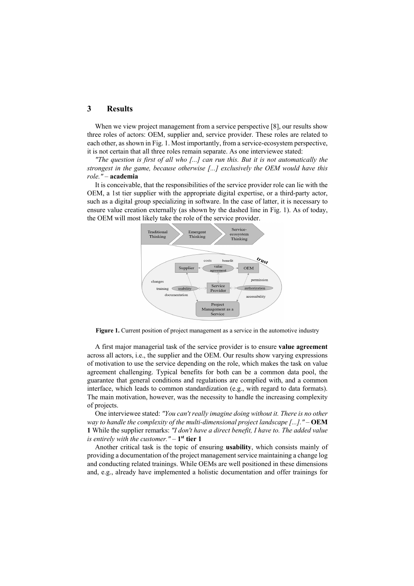#### **3 Results**

When we view project management from a service perspective [8], our results show three roles of actors: OEM, supplier and, service provider. These roles are related to each other, as shown in Fig. 1. Most importantly, from a service-ecosystem perspective, it is not certain that all three roles remain separate. As one interviewee stated:

*"The question is first of all who [...] can run this. But it is not automatically the strongest in the game, because otherwise [...] exclusively the OEM would have this role."* – **academia**

It is conceivable, that the responsibilities of the service provider role can lie with the OEM, a 1st tier supplier with the appropriate digital expertise, or a third-party actor, such as a digital group specializing in software. In the case of latter, it is necessary to ensure value creation externally (as shown by the dashed line in Fig. 1). As of today, the OEM will most likely take the role of the service provider.



Figure 1. Current position of project management as a service in the automotive industry

A first major managerial task of the service provider is to ensure **value agreement** across all actors, i.e., the supplier and the OEM. Our results show varying expressions of motivation to use the service depending on the role, which makes the task on value agreement challenging. Typical benefits for both can be a common data pool, the guarantee that general conditions and regulations are complied with, and a common interface, which leads to common standardization (e.g., with regard to data formats). The main motivation, however, was the necessity to handle the increasing complexity of projects.

One interviewee stated: *"You can't really imagine doing without it. There is no other way to handle the complexity of the multi-dimensional project landscape [...]." –* **OEM 1** While the supplier remarks: *"I don't have a direct benefit, I have to. The added value is entirely with the customer." –* **1st tier 1**

Another critical task is the topic of ensuring **usability**, which consists mainly of providing a documentation of the project management service maintaining a change log and conducting related trainings. While OEMs are well positioned in these dimensions and, e.g., already have implemented a holistic documentation and offer trainings for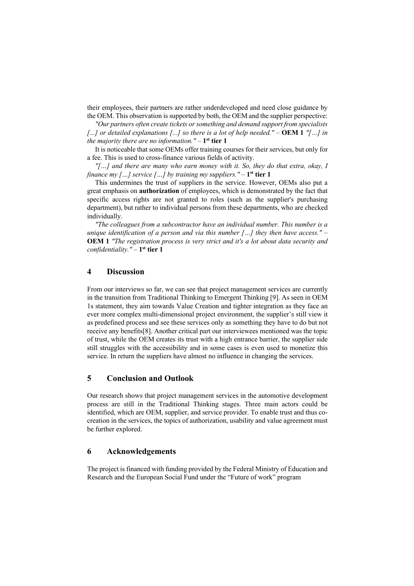their employees, their partners are rather underdeveloped and need close guidance by the OEM. This observation is supported by both, the OEM and the supplier perspective:

*"Our partners often create tickets or something and demand support from specialists [...] or detailed explanations [...] so there is a lot of help needed." –* **OEM 1** *"[…] in the majority there are no information."* – **1st tier 1**

It is noticeable that some OEMs offer training courses for their services, but only for a fee. This is used to cross-finance various fields of activity.

*"[…] and there are many who earn money with it. So, they do that extra, okay, I finance my […] service […] by training my suppliers."* – 1<sup>st</sup> tier 1

This undermines the trust of suppliers in the service. However, OEMs also put a great emphasis on **authorization** of employees, which is demonstrated by the fact that specific access rights are not granted to roles (such as the supplier's purchasing department), but rather to individual persons from these departments, who are checked individually.

*"The colleagues from a subcontractor have an individual number. This number is a unique identification of a person and via this number […] they then have access."* – **OEM 1** *"The registration process is very strict and it's a lot about data security and confidentiality."* – **1st tier 1**

#### **4 Discussion**

From our interviews so far, we can see that project management services are currently in the transition from Traditional Thinking to Emergent Thinking [9]. As seen in OEM 1s statement, they aim towards Value Creation and tighter integration as they face an ever more complex multi-dimensional project environment, the supplier's still view it as predefined process and see these services only as something they have to do but not receive any benefits[8]. Another critical part our interviewees mentioned was the topic of trust, while the OEM creates its trust with a high entrance barrier, the supplier side still struggles with the accessibility and in some cases is even used to monetize this service. In return the suppliers have almost no influence in changing the services.

#### **5 Conclusion and Outlook**

Our research shows that project management services in the automotive development process are still in the Traditional Thinking stages. Three main actors could be identified, which are OEM, supplier, and service provider. To enable trust and thus cocreation in the services, the topics of authorization, usability and value agreement must be further explored.

#### **6 Acknowledgements**

The project is financed with funding provided by the Federal Ministry of Education and Research and the European Social Fund under the "Future of work" program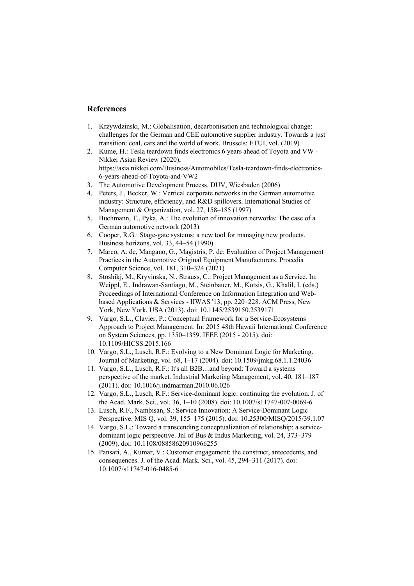#### **References**

- 1. Krzywdzinski, M.: Globalisation, decarbonisation and technological change: challenges for the German and CEE automotive supplier industry. Towards a just transition: coal, cars and the world of work. Brussels: ETUI, vol. (2019)
- 2. Kume, H.: Tesla teardown finds electronics 6 years ahead of Toyota and VW Nikkei Asian Review (2020), https://asia.nikkei.com/Business/Automobiles/Tesla-teardown-finds-electronics-6-years-ahead-of-Toyota-and-VW2
- 3. The Automotive Development Process. DUV, Wiesbaden (2006)
- 4. Peters, J., Becker, W.: Vertical corporate networks in the German automotive industry: Structure, efficiency, and R&D spillovers. International Studies of Management & Organization, vol. 27, 158–185 (1997)
- 5. Buchmann, T., Pyka, A.: The evolution of innovation networks: The case of a German automotive network (2013)
- 6. Cooper, R.G.: Stage-gate systems: a new tool for managing new products. Business horizons, vol. 33, 44–54 (1990)
- 7. Marco, A. de, Mangano, G., Magistris, P. de: Evaluation of Project Management Practices in the Automotive Original Equipment Manufacturers. Procedia Computer Science, vol. 181, 310–324 (2021)
- 8. Stoshikj, M., Kryvinska, N., Strauss, C.: Project Management as a Service. In: Weippl, E., Indrawan-Santiago, M., Steinbauer, M., Kotsis, G., Khalil, I. (eds.) Proceedings of International Conference on Information Integration and Webbased Applications & Services - IIWAS '13, pp. 220–228. ACM Press, New York, New York, USA (2013). doi: 10.1145/2539150.2539171
- 9. Vargo, S.L., Clavier, P.: Conceptual Framework for a Service-Ecosystems Approach to Project Management. In: 2015 48th Hawaii International Conference on System Sciences, pp. 1350–1359. IEEE (2015 - 2015). doi: 10.1109/HICSS.2015.166
- 10. Vargo, S.L., Lusch, R.F.: Evolving to a New Dominant Logic for Marketing. Journal of Marketing, vol. 68, 1–17 (2004). doi: 10.1509/jmkg.68.1.1.24036
- 11. Vargo, S.L., Lusch, R.F.: It's all B2B…and beyond: Toward a systems perspective of the market. Industrial Marketing Management, vol. 40, 181–187 (2011). doi: 10.1016/j.indmarman.2010.06.026
- 12. Vargo, S.L., Lusch, R.F.: Service-dominant logic: continuing the evolution. J. of the Acad. Mark. Sci., vol. 36, 1–10 (2008). doi: 10.1007/s11747-007-0069-6
- 13. Lusch, R.F., Nambisan, S.: Service Innovation: A Service-Dominant Logic Perspective. MIS Q, vol. 39, 155–175 (2015). doi: 10.25300/MISQ/2015/39.1.07
- 14. Vargo, S.L.: Toward a transcending conceptualization of relationship: a servicedominant logic perspective. Jnl of Bus & Indus Marketing, vol. 24, 373–379 (2009). doi: 10.1108/08858620910966255
- 15. Pansari, A., Kumar, V.: Customer engagement: the construct, antecedents, and consequences. J. of the Acad. Mark. Sci., vol. 45, 294–311 (2017). doi: 10.1007/s11747-016-0485-6